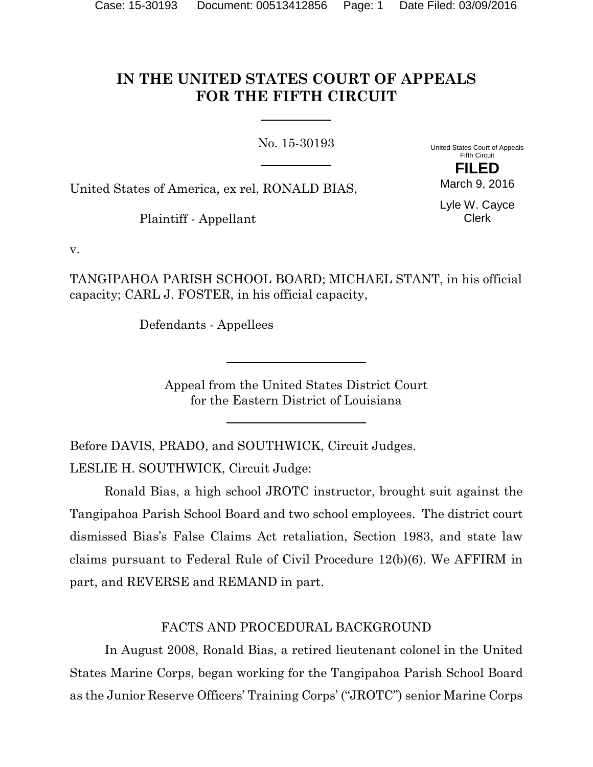# **IN THE UNITED STATES COURT OF APPEALS FOR THE FIFTH CIRCUIT**

No. 15-30193

United States Court of Appeals Fifth Circuit **FILED**

United States of America, ex rel, RONALD BIAS,

Plaintiff - Appellant

Lyle W. Cayce Clerk

March 9, 2016

v.

TANGIPAHOA PARISH SCHOOL BOARD; MICHAEL STANT, in his official capacity; CARL J. FOSTER, in his official capacity,

Defendants - Appellees

Appeal from the United States District Court for the Eastern District of Louisiana

Before DAVIS, PRADO, and SOUTHWICK, Circuit Judges.

LESLIE H. SOUTHWICK, Circuit Judge:

Ronald Bias, a high school JROTC instructor, brought suit against the Tangipahoa Parish School Board and two school employees. The district court dismissed Bias's False Claims Act retaliation, Section 1983, and state law claims pursuant to Federal Rule of Civil Procedure 12(b)(6). We AFFIRM in part, and REVERSE and REMAND in part.

## FACTS AND PROCEDURAL BACKGROUND

In August 2008, Ronald Bias, a retired lieutenant colonel in the United States Marine Corps, began working for the Tangipahoa Parish School Board as the Junior Reserve Officers' Training Corps' ("JROTC") senior Marine Corps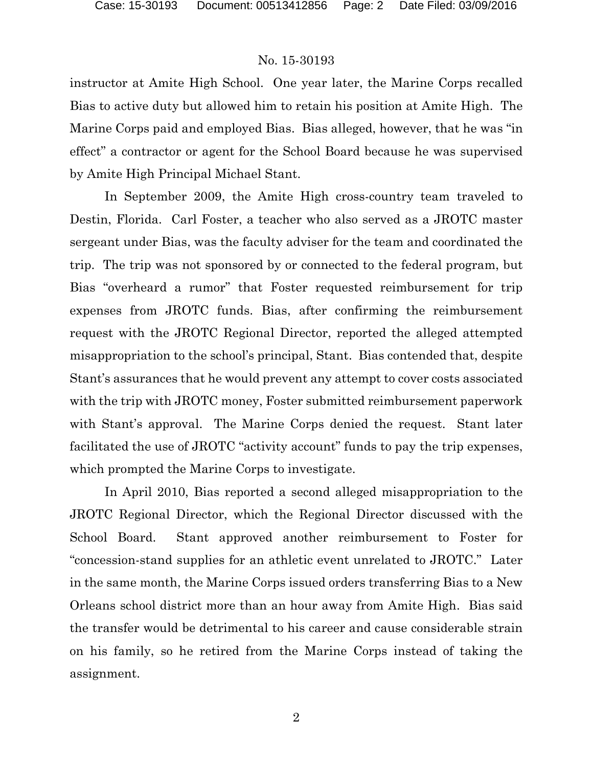instructor at Amite High School. One year later, the Marine Corps recalled Bias to active duty but allowed him to retain his position at Amite High. The Marine Corps paid and employed Bias. Bias alleged, however, that he was "in effect" a contractor or agent for the School Board because he was supervised by Amite High Principal Michael Stant.

In September 2009, the Amite High cross-country team traveled to Destin, Florida. Carl Foster, a teacher who also served as a JROTC master sergeant under Bias, was the faculty adviser for the team and coordinated the trip. The trip was not sponsored by or connected to the federal program, but Bias "overheard a rumor" that Foster requested reimbursement for trip expenses from JROTC funds. Bias, after confirming the reimbursement request with the JROTC Regional Director, reported the alleged attempted misappropriation to the school's principal, Stant. Bias contended that, despite Stant's assurances that he would prevent any attempt to cover costs associated with the trip with JROTC money, Foster submitted reimbursement paperwork with Stant's approval. The Marine Corps denied the request. Stant later facilitated the use of JROTC "activity account" funds to pay the trip expenses, which prompted the Marine Corps to investigate.

In April 2010, Bias reported a second alleged misappropriation to the JROTC Regional Director, which the Regional Director discussed with the School Board. Stant approved another reimbursement to Foster for "concession-stand supplies for an athletic event unrelated to JROTC." Later in the same month, the Marine Corps issued orders transferring Bias to a New Orleans school district more than an hour away from Amite High. Bias said the transfer would be detrimental to his career and cause considerable strain on his family, so he retired from the Marine Corps instead of taking the assignment.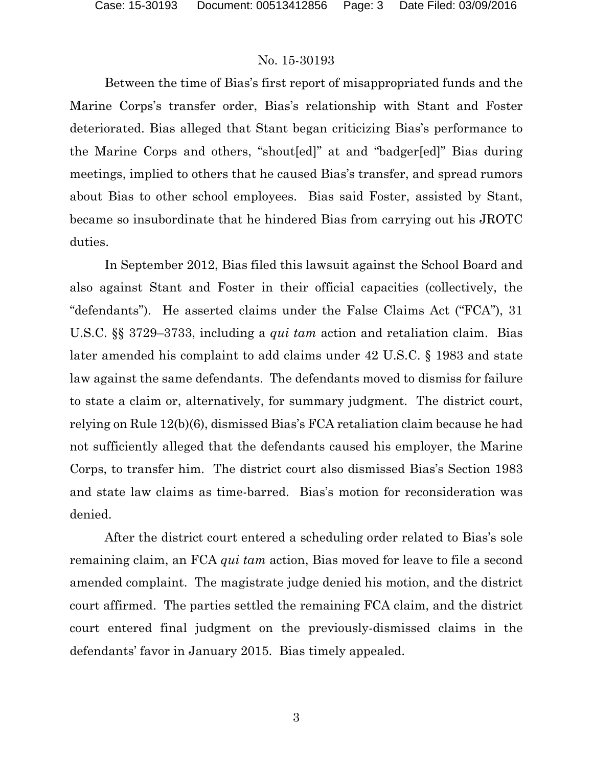Between the time of Bias's first report of misappropriated funds and the Marine Corps's transfer order, Bias's relationship with Stant and Foster deteriorated. Bias alleged that Stant began criticizing Bias's performance to the Marine Corps and others, "shout[ed]" at and "badger[ed]" Bias during meetings, implied to others that he caused Bias's transfer, and spread rumors about Bias to other school employees. Bias said Foster, assisted by Stant, became so insubordinate that he hindered Bias from carrying out his JROTC duties.

In September 2012, Bias filed this lawsuit against the School Board and also against Stant and Foster in their official capacities (collectively, the "defendants"). He asserted claims under the False Claims Act ("FCA"), 31 U.S.C. §§ 3729–3733, including a *qui tam* action and retaliation claim. Bias later amended his complaint to add claims under 42 U.S.C. § 1983 and state law against the same defendants. The defendants moved to dismiss for failure to state a claim or, alternatively, for summary judgment. The district court, relying on Rule 12(b)(6), dismissed Bias's FCA retaliation claim because he had not sufficiently alleged that the defendants caused his employer, the Marine Corps, to transfer him. The district court also dismissed Bias's Section 1983 and state law claims as time-barred. Bias's motion for reconsideration was denied.

After the district court entered a scheduling order related to Bias's sole remaining claim, an FCA *qui tam* action, Bias moved for leave to file a second amended complaint. The magistrate judge denied his motion, and the district court affirmed. The parties settled the remaining FCA claim, and the district court entered final judgment on the previously-dismissed claims in the defendants' favor in January 2015. Bias timely appealed.

3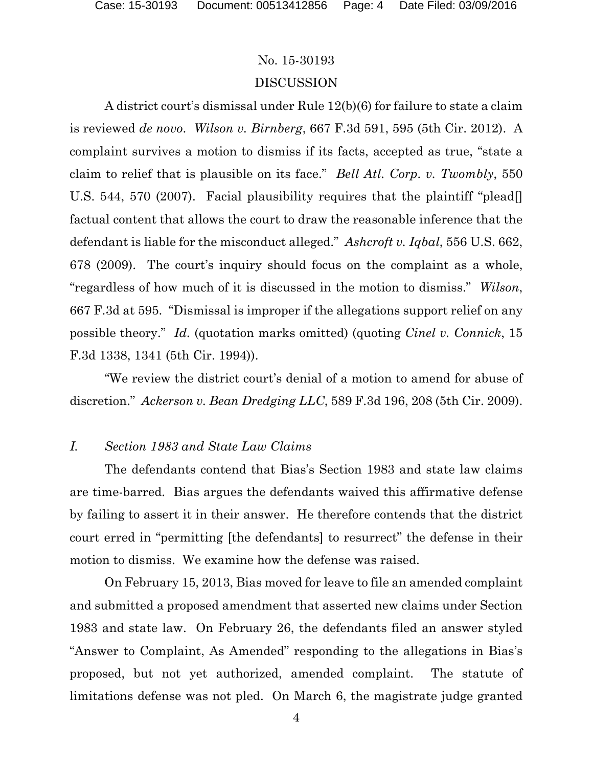## No. 15-30193 DISCUSSION

A district court's dismissal under Rule 12(b)(6) for failure to state a claim is reviewed *de novo*. *Wilson v. Birnberg*, 667 F.3d 591, 595 (5th Cir. 2012). A complaint survives a motion to dismiss if its facts, accepted as true, "state a claim to relief that is plausible on its face." *Bell Atl. Corp. v. Twombly*, 550 U.S. 544, 570 (2007). Facial plausibility requires that the plaintiff "plead. factual content that allows the court to draw the reasonable inference that the defendant is liable for the misconduct alleged." *Ashcroft v. Iqbal*, 556 U.S. 662, 678 (2009). The court's inquiry should focus on the complaint as a whole, "regardless of how much of it is discussed in the motion to dismiss." *Wilson*, 667 F.3d at 595. "Dismissal is improper if the allegations support relief on any possible theory." *Id.* (quotation marks omitted) (quoting *Cinel v. Connick*, 15 F.3d 1338, 1341 (5th Cir. 1994)).

"We review the district court's denial of a motion to amend for abuse of discretion." *Ackerson v. Bean Dredging LLC*, 589 F.3d 196, 208 (5th Cir. 2009).

### *I. Section 1983 and State Law Claims*

The defendants contend that Bias's Section 1983 and state law claims are time-barred. Bias argues the defendants waived this affirmative defense by failing to assert it in their answer. He therefore contends that the district court erred in "permitting [the defendants] to resurrect" the defense in their motion to dismiss. We examine how the defense was raised.

On February 15, 2013, Bias moved for leave to file an amended complaint and submitted a proposed amendment that asserted new claims under Section 1983 and state law. On February 26, the defendants filed an answer styled "Answer to Complaint, As Amended" responding to the allegations in Bias's proposed, but not yet authorized, amended complaint. The statute of limitations defense was not pled. On March 6, the magistrate judge granted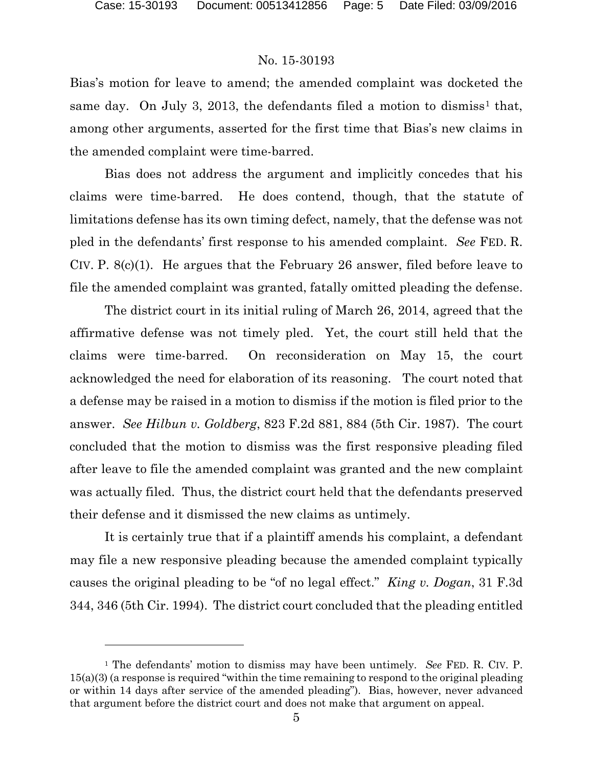#### No. 15-30193

Bias's motion for leave to amend; the amended complaint was docketed the same day. On July 3, 20[1](#page-4-0)3, the defendants filed a motion to dismiss<sup>1</sup> that, among other arguments, asserted for the first time that Bias's new claims in the amended complaint were time-barred.

Bias does not address the argument and implicitly concedes that his claims were time-barred. He does contend, though, that the statute of limitations defense has its own timing defect, namely, that the defense was not pled in the defendants' first response to his amended complaint. *See* FED. R. CIV. P. 8(c)(1). He argues that the February 26 answer, filed before leave to file the amended complaint was granted, fatally omitted pleading the defense.

The district court in its initial ruling of March 26, 2014, agreed that the affirmative defense was not timely pled. Yet, the court still held that the claims were time-barred. On reconsideration on May 15, the court acknowledged the need for elaboration of its reasoning. The court noted that a defense may be raised in a motion to dismiss if the motion is filed prior to the answer. *See Hilbun v. Goldberg*, 823 F.2d 881, 884 (5th Cir. 1987). The court concluded that the motion to dismiss was the first responsive pleading filed after leave to file the amended complaint was granted and the new complaint was actually filed. Thus, the district court held that the defendants preserved their defense and it dismissed the new claims as untimely.

It is certainly true that if a plaintiff amends his complaint, a defendant may file a new responsive pleading because the amended complaint typically causes the original pleading to be "of no legal effect." *King v. Dogan*, 31 F.3d 344, 346 (5th Cir. 1994). The district court concluded that the pleading entitled

<span id="page-4-0"></span><sup>1</sup> The defendants' motion to dismiss may have been untimely. *See* FED. R. CIV. P. 15(a)(3) (a response is required "within the time remaining to respond to the original pleading or within 14 days after service of the amended pleading"). Bias, however, never advanced that argument before the district court and does not make that argument on appeal.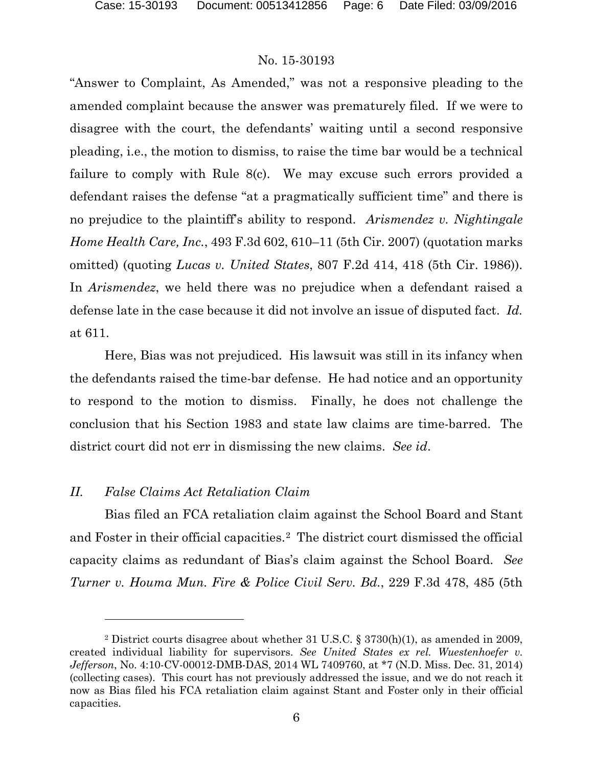"Answer to Complaint, As Amended," was not a responsive pleading to the amended complaint because the answer was prematurely filed. If we were to disagree with the court, the defendants' waiting until a second responsive pleading, i.e., the motion to dismiss, to raise the time bar would be a technical failure to comply with Rule 8(c). We may excuse such errors provided a defendant raises the defense "at a pragmatically sufficient time" and there is no prejudice to the plaintiff's ability to respond. *Arismendez v. Nightingale Home Health Care, Inc.*, 493 F.3d 602, 610–11 (5th Cir. 2007) (quotation marks omitted) (quoting *Lucas v. United States*, 807 F.2d 414, 418 (5th Cir. 1986)). In *Arismendez*, we held there was no prejudice when a defendant raised a defense late in the case because it did not involve an issue of disputed fact. *Id.* at 611.

Here, Bias was not prejudiced. His lawsuit was still in its infancy when the defendants raised the time-bar defense. He had notice and an opportunity to respond to the motion to dismiss. Finally, he does not challenge the conclusion that his Section 1983 and state law claims are time-barred. The district court did not err in dismissing the new claims. *See id*.

#### *II. False Claims Act Retaliation Claim*

 $\overline{a}$ 

Bias filed an FCA retaliation claim against the School Board and Stant and Foster in their official capacities.[2](#page-5-0) The district court dismissed the official capacity claims as redundant of Bias's claim against the School Board. *See Turner v. Houma Mun. Fire & Police Civil Serv. Bd.*, 229 F.3d 478, 485 (5th

<span id="page-5-0"></span><sup>2</sup> District courts disagree about whether 31 U.S.C. § 3730(h)(1), as amended in 2009, created individual liability for supervisors. *See United States ex rel. Wuestenhoefer v. Jefferson*, No. 4:10-CV-00012-DMB-DAS, 2014 WL 7409760, at \*7 (N.D. Miss. Dec. 31, 2014) (collecting cases). This court has not previously addressed the issue, and we do not reach it now as Bias filed his FCA retaliation claim against Stant and Foster only in their official capacities.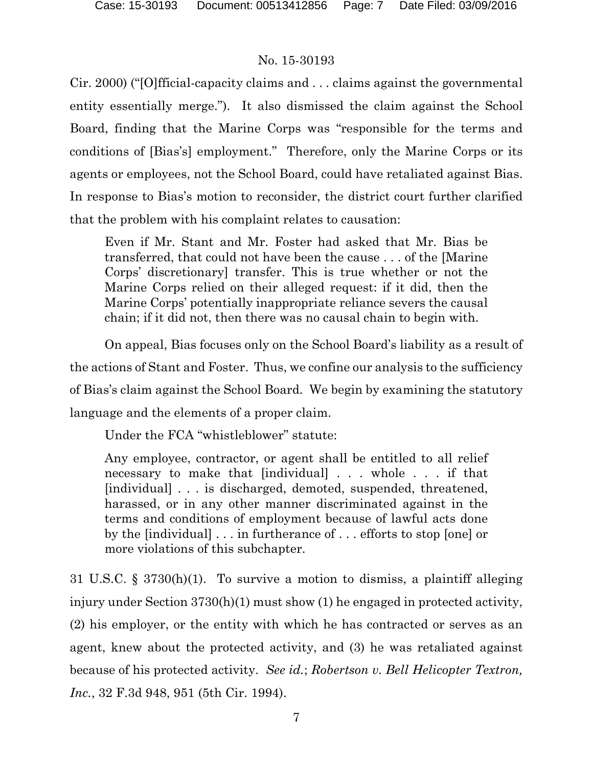Cir. 2000) ("[O]fficial-capacity claims and . . . claims against the governmental entity essentially merge."). It also dismissed the claim against the School Board, finding that the Marine Corps was "responsible for the terms and conditions of [Bias's] employment." Therefore, only the Marine Corps or its agents or employees, not the School Board, could have retaliated against Bias. In response to Bias's motion to reconsider, the district court further clarified that the problem with his complaint relates to causation:

Even if Mr. Stant and Mr. Foster had asked that Mr. Bias be transferred, that could not have been the cause . . . of the [Marine Corps' discretionary] transfer. This is true whether or not the Marine Corps relied on their alleged request: if it did, then the Marine Corps' potentially inappropriate reliance severs the causal chain; if it did not, then there was no causal chain to begin with.

On appeal, Bias focuses only on the School Board's liability as a result of the actions of Stant and Foster. Thus, we confine our analysis to the sufficiency of Bias's claim against the School Board. We begin by examining the statutory language and the elements of a proper claim.

Under the FCA "whistleblower" statute:

Any employee, contractor, or agent shall be entitled to all relief necessary to make that [individual] . . . whole . . . if that [individual] . . . is discharged, demoted, suspended, threatened, harassed, or in any other manner discriminated against in the terms and conditions of employment because of lawful acts done by the [individual] . . . in furtherance of . . . efforts to stop [one] or more violations of this subchapter.

31 U.S.C. § 3730(h)(1). To survive a motion to dismiss, a plaintiff alleging injury under Section 3730(h)(1) must show (1) he engaged in protected activity, (2) his employer, or the entity with which he has contracted or serves as an agent, knew about the protected activity, and (3) he was retaliated against because of his protected activity. *See id.*; *Robertson v. Bell Helicopter Textron, Inc.*, 32 F.3d 948, 951 (5th Cir. 1994).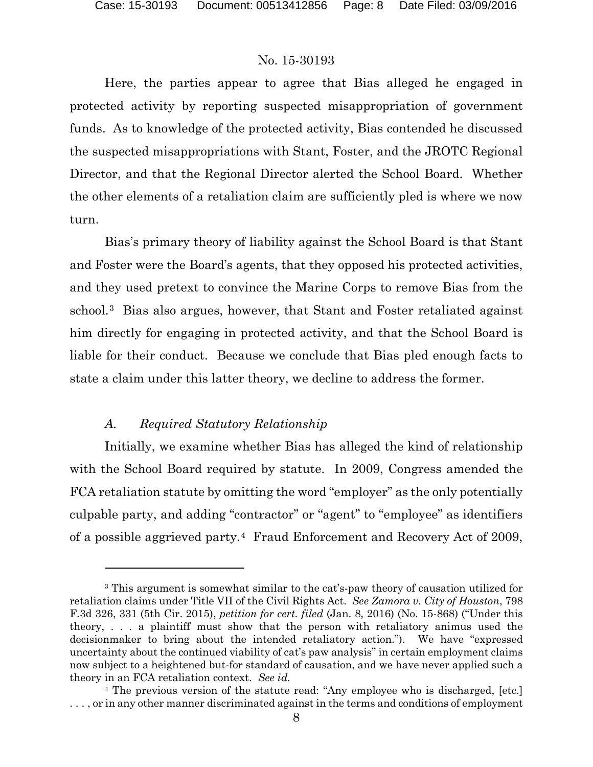Here, the parties appear to agree that Bias alleged he engaged in protected activity by reporting suspected misappropriation of government funds. As to knowledge of the protected activity, Bias contended he discussed the suspected misappropriations with Stant, Foster, and the JROTC Regional Director, and that the Regional Director alerted the School Board. Whether the other elements of a retaliation claim are sufficiently pled is where we now turn.

Bias's primary theory of liability against the School Board is that Stant and Foster were the Board's agents, that they opposed his protected activities, and they used pretext to convince the Marine Corps to remove Bias from the school.[3](#page-7-0) Bias also argues, however, that Stant and Foster retaliated against him directly for engaging in protected activity, and that the School Board is liable for their conduct. Because we conclude that Bias pled enough facts to state a claim under this latter theory, we decline to address the former.

#### *A. Required Statutory Relationship*

 $\overline{a}$ 

Initially, we examine whether Bias has alleged the kind of relationship with the School Board required by statute. In 2009, Congress amended the FCA retaliation statute by omitting the word "employer" as the only potentially culpable party, and adding "contractor" or "agent" to "employee" as identifiers of a possible aggrieved party.[4](#page-7-1) Fraud Enforcement and Recovery Act of 2009,

<span id="page-7-0"></span><sup>3</sup> This argument is somewhat similar to the cat's-paw theory of causation utilized for retaliation claims under Title VII of the Civil Rights Act. *See Zamora v. City of Houston*, 798 F.3d 326, 331 (5th Cir. 2015), *petition for cert. filed* (Jan. 8, 2016) (No. 15-868) ("Under this theory, . . . a plaintiff must show that the person with retaliatory animus used the decisionmaker to bring about the intended retaliatory action."). We have "expressed uncertainty about the continued viability of cat's paw analysis" in certain employment claims now subject to a heightened but-for standard of causation, and we have never applied such a theory in an FCA retaliation context. *See id.*

<span id="page-7-1"></span><sup>4</sup> The previous version of the statute read: "Any employee who is discharged, [etc.] . . . , or in any other manner discriminated against in the terms and conditions of employment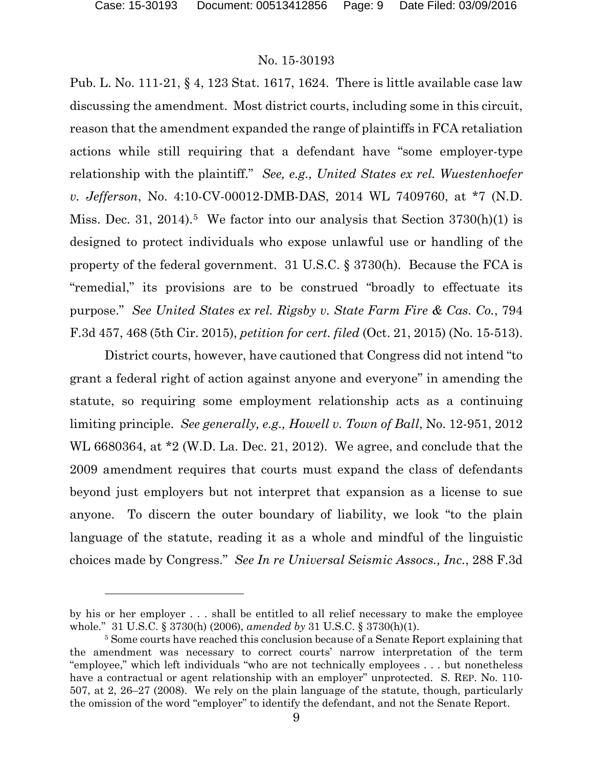#### No. 15-30193

Pub. L. No. 111-21, § 4, 123 Stat. 1617, 1624. There is little available case law discussing the amendment. Most district courts, including some in this circuit, reason that the amendment expanded the range of plaintiffs in FCA retaliation actions while still requiring that a defendant have "some employer-type relationship with the plaintiff." *See, e.g., United States ex rel. Wuestenhoefer v. Jefferson*, No. 4:10-CV-00012-DMB-DAS, 2014 WL 7409760, at \*7 (N.D. Miss. Dec. 31, 2014).<sup>[5](#page-8-0)</sup> We factor into our analysis that Section  $3730(h)(1)$  is designed to protect individuals who expose unlawful use or handling of the property of the federal government. 31 U.S.C. § 3730(h). Because the FCA is "remedial," its provisions are to be construed "broadly to effectuate its purpose." *See United States ex rel. Rigsby v. State Farm Fire & Cas. Co.*, 794 F.3d 457, 468 (5th Cir. 2015), *petition for cert. filed* (Oct. 21, 2015) (No. 15-513).

District courts, however, have cautioned that Congress did not intend "to grant a federal right of action against anyone and everyone" in amending the statute, so requiring some employment relationship acts as a continuing limiting principle. *See generally, e.g., Howell v. Town of Ball*, No. 12-951, 2012 WL 6680364, at \*2 (W.D. La. Dec. 21, 2012). We agree, and conclude that the 2009 amendment requires that courts must expand the class of defendants beyond just employers but not interpret that expansion as a license to sue anyone. To discern the outer boundary of liability, we look "to the plain language of the statute, reading it as a whole and mindful of the linguistic choices made by Congress." *See In re Universal Seismic Assocs., Inc.*, 288 F.3d

by his or her employer . . . shall be entitled to all relief necessary to make the employee whole." 31 U.S.C. § 3730(h) (2006), *amended by* 31 U.S.C. § 3730(h)(1).

<span id="page-8-0"></span><sup>5</sup> Some courts have reached this conclusion because of a Senate Report explaining that the amendment was necessary to correct courts' narrow interpretation of the term "employee," which left individuals "who are not technically employees . . . but nonetheless have a contractual or agent relationship with an employer" unprotected. S. REP. No. 110-507, at 2, 26–27 (2008). We rely on the plain language of the statute, though, particularly the omission of the word "employer" to identify the defendant, and not the Senate Report.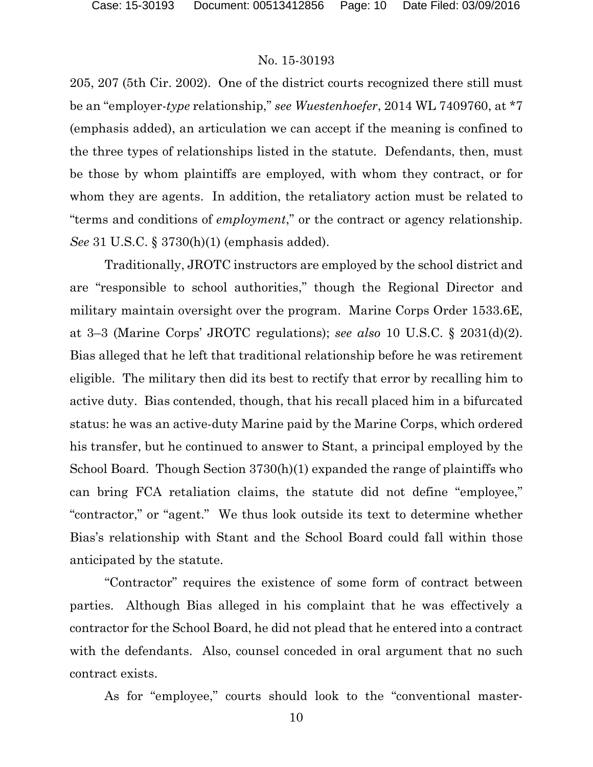205, 207 (5th Cir. 2002). One of the district courts recognized there still must be an "employer-*type* relationship," *see Wuestenhoefer*, 2014 WL 7409760, at \*7 (emphasis added), an articulation we can accept if the meaning is confined to the three types of relationships listed in the statute. Defendants, then, must be those by whom plaintiffs are employed, with whom they contract, or for whom they are agents. In addition, the retaliatory action must be related to "terms and conditions of *employment*," or the contract or agency relationship. *See* 31 U.S.C. § 3730(h)(1) (emphasis added).

 Traditionally, JROTC instructors are employed by the school district and are "responsible to school authorities," though the Regional Director and military maintain oversight over the program. Marine Corps Order 1533.6E, at 3–3 (Marine Corps' JROTC regulations); *see also* 10 U.S.C. § 2031(d)(2). Bias alleged that he left that traditional relationship before he was retirement eligible. The military then did its best to rectify that error by recalling him to active duty. Bias contended, though, that his recall placed him in a bifurcated status: he was an active-duty Marine paid by the Marine Corps, which ordered his transfer, but he continued to answer to Stant, a principal employed by the School Board. Though Section 3730(h)(1) expanded the range of plaintiffs who can bring FCA retaliation claims, the statute did not define "employee," "contractor," or "agent." We thus look outside its text to determine whether Bias's relationship with Stant and the School Board could fall within those anticipated by the statute.

"Contractor" requires the existence of some form of contract between parties. Although Bias alleged in his complaint that he was effectively a contractor for the School Board, he did not plead that he entered into a contract with the defendants. Also, counsel conceded in oral argument that no such contract exists.

As for "employee," courts should look to the "conventional master-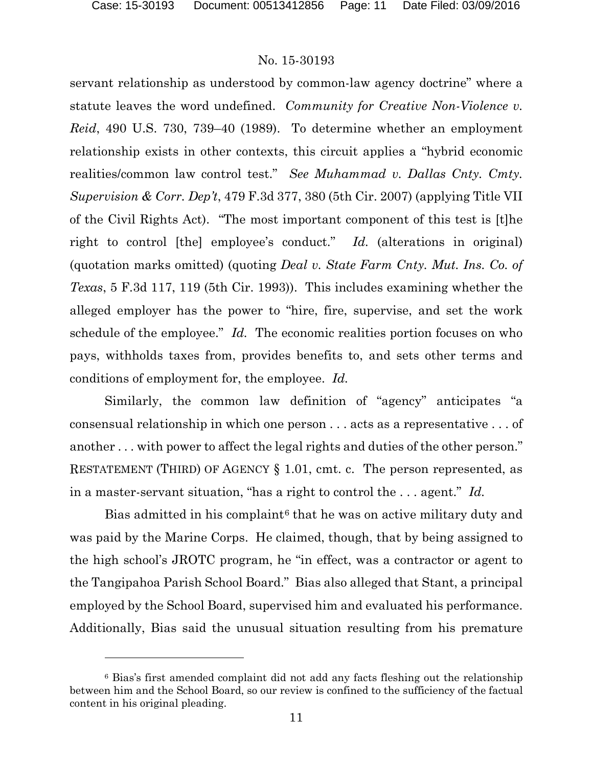#### No. 15-30193

servant relationship as understood by common-law agency doctrine" where a statute leaves the word undefined. *Community for Creative Non-Violence v. Reid*, 490 U.S. 730, 739–40 (1989). To determine whether an employment relationship exists in other contexts, this circuit applies a "hybrid economic realities/common law control test." *See Muhammad v. Dallas Cnty. Cmty. Supervision & Corr. Dep't*, 479 F.3d 377, 380 (5th Cir. 2007) (applying Title VII of the Civil Rights Act). "The most important component of this test is [t]he right to control [the] employee's conduct." *Id.* (alterations in original) (quotation marks omitted) (quoting *Deal v. State Farm Cnty. Mut. Ins. Co. of Texas*, 5 F.3d 117, 119 (5th Cir. 1993)). This includes examining whether the alleged employer has the power to "hire, fire, supervise, and set the work schedule of the employee." *Id.* The economic realities portion focuses on who pays, withholds taxes from, provides benefits to, and sets other terms and conditions of employment for, the employee. *Id.* 

Similarly, the common law definition of "agency" anticipates "a consensual relationship in which one person . . . acts as a representative . . . of another . . . with power to affect the legal rights and duties of the other person." RESTATEMENT (THIRD) OF AGENCY § 1.01, cmt. c. The person represented, as in a master-servant situation, "has a right to control the . . . agent." *Id.*

Bias admitted in his complaint<sup>[6](#page-10-0)</sup> that he was on active military duty and was paid by the Marine Corps. He claimed, though, that by being assigned to the high school's JROTC program, he "in effect, was a contractor or agent to the Tangipahoa Parish School Board." Bias also alleged that Stant, a principal employed by the School Board, supervised him and evaluated his performance. Additionally, Bias said the unusual situation resulting from his premature

<span id="page-10-0"></span><sup>6</sup> Bias's first amended complaint did not add any facts fleshing out the relationship between him and the School Board, so our review is confined to the sufficiency of the factual content in his original pleading.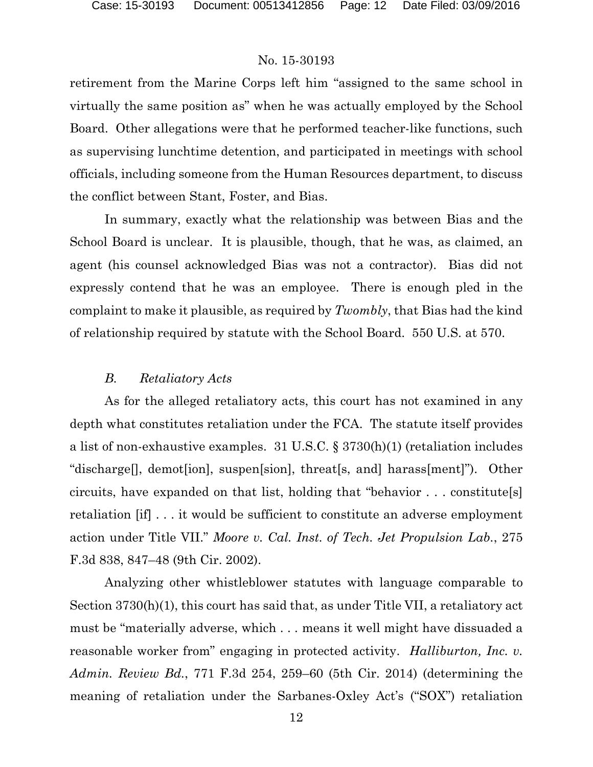retirement from the Marine Corps left him "assigned to the same school in virtually the same position as" when he was actually employed by the School Board. Other allegations were that he performed teacher-like functions, such as supervising lunchtime detention, and participated in meetings with school officials, including someone from the Human Resources department, to discuss the conflict between Stant, Foster, and Bias.

In summary, exactly what the relationship was between Bias and the School Board is unclear. It is plausible, though, that he was, as claimed, an agent (his counsel acknowledged Bias was not a contractor). Bias did not expressly contend that he was an employee. There is enough pled in the complaint to make it plausible, as required by *Twombly*, that Bias had the kind of relationship required by statute with the School Board. 550 U.S. at 570.

#### *B. Retaliatory Acts*

As for the alleged retaliatory acts, this court has not examined in any depth what constitutes retaliation under the FCA. The statute itself provides a list of non-exhaustive examples. 31 U.S.C. § 3730(h)(1) (retaliation includes "discharge[], demot[ion], suspen[sion], threat[s, and] harass[ment]"). Other circuits, have expanded on that list, holding that "behavior . . . constitute[s] retaliation [if] . . . it would be sufficient to constitute an adverse employment action under Title VII." *Moore v. Cal. Inst. of Tech. Jet Propulsion Lab.*, 275 F.3d 838, 847–48 (9th Cir. 2002).

Analyzing other whistleblower statutes with language comparable to Section 3730(h)(1), this court has said that, as under Title VII, a retaliatory act must be "materially adverse, which . . . means it well might have dissuaded a reasonable worker from" engaging in protected activity. *Halliburton, Inc. v. Admin. Review Bd.*, 771 F.3d 254, 259–60 (5th Cir. 2014) (determining the meaning of retaliation under the Sarbanes-Oxley Act's ("SOX") retaliation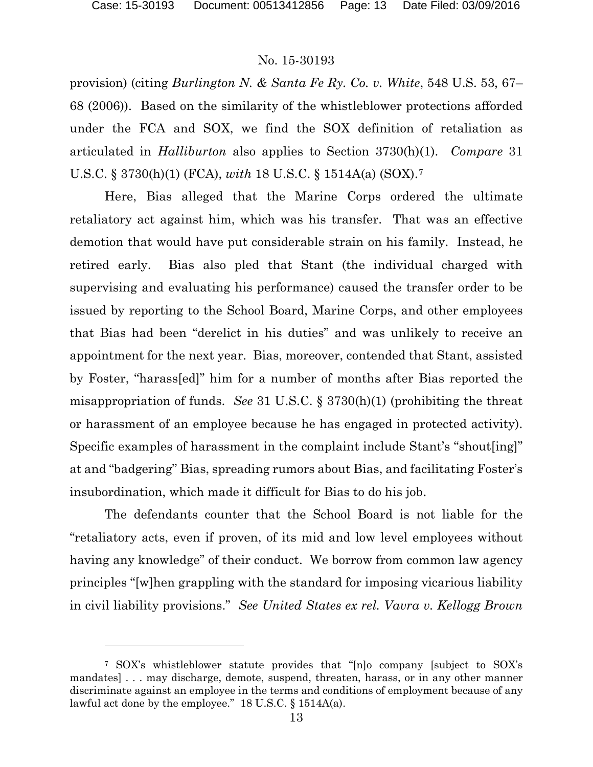#### No. 15-30193

provision) (citing *Burlington N. & Santa Fe Ry. Co. v. White*, 548 U.S. 53, 67– 68 (2006)). Based on the similarity of the whistleblower protections afforded under the FCA and SOX, we find the SOX definition of retaliation as articulated in *Halliburton* also applies to Section 3730(h)(1). *Compare* 31 U.S.C. § 3730(h)(1) (FCA), *with* 18 U.S.C. § 1514A(a) (SOX).[7](#page-12-0)

Here, Bias alleged that the Marine Corps ordered the ultimate retaliatory act against him, which was his transfer. That was an effective demotion that would have put considerable strain on his family. Instead, he retired early. Bias also pled that Stant (the individual charged with supervising and evaluating his performance) caused the transfer order to be issued by reporting to the School Board, Marine Corps, and other employees that Bias had been "derelict in his duties" and was unlikely to receive an appointment for the next year. Bias, moreover, contended that Stant, assisted by Foster, "harass[ed]" him for a number of months after Bias reported the misappropriation of funds. *See* 31 U.S.C. § 3730(h)(1) (prohibiting the threat or harassment of an employee because he has engaged in protected activity). Specific examples of harassment in the complaint include Stant's "shout[ing]" at and "badgering" Bias, spreading rumors about Bias, and facilitating Foster's insubordination, which made it difficult for Bias to do his job.

The defendants counter that the School Board is not liable for the "retaliatory acts, even if proven, of its mid and low level employees without having any knowledge" of their conduct. We borrow from common law agency principles "[w]hen grappling with the standard for imposing vicarious liability in civil liability provisions." *See United States ex rel. Vavra v. Kellogg Brown* 

<span id="page-12-0"></span><sup>7</sup> SOX's whistleblower statute provides that "[n]o company [subject to SOX's mandates] . . . may discharge, demote, suspend, threaten, harass, or in any other manner discriminate against an employee in the terms and conditions of employment because of any lawful act done by the employee." 18 U.S.C. § 1514A(a).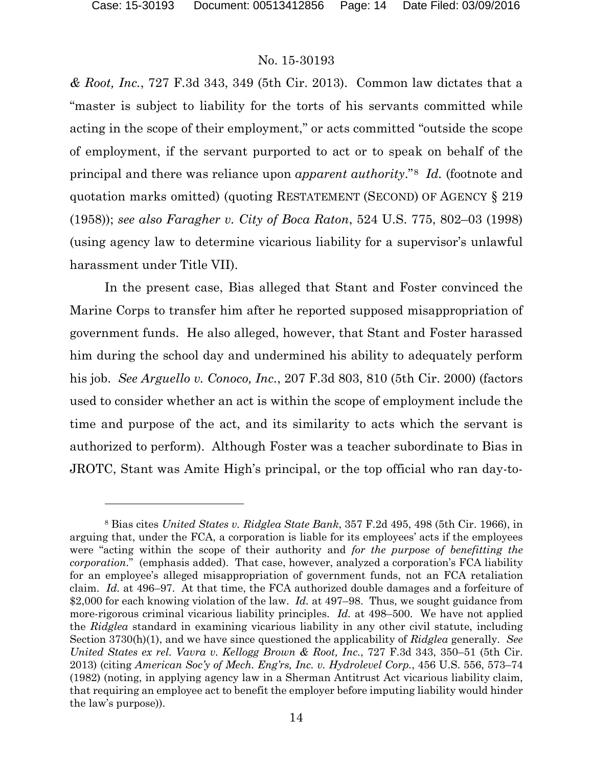#### No. 15-30193

*& Root, Inc.*, 727 F.3d 343, 349 (5th Cir. 2013). Common law dictates that a "master is subject to liability for the torts of his servants committed while acting in the scope of their employment," or acts committed "outside the scope of employment, if the servant purported to act or to speak on behalf of the principal and there was reliance upon *apparent authority*."[8](#page-13-0) *Id.* (footnote and quotation marks omitted) (quoting RESTATEMENT (SECOND) OF AGENCY § 219 (1958)); *see also Faragher v. City of Boca Raton*, 524 U.S. 775, 802–03 (1998) (using agency law to determine vicarious liability for a supervisor's unlawful harassment under Title VII).

In the present case, Bias alleged that Stant and Foster convinced the Marine Corps to transfer him after he reported supposed misappropriation of government funds. He also alleged, however, that Stant and Foster harassed him during the school day and undermined his ability to adequately perform his job. *See Arguello v. Conoco, Inc.*, 207 F.3d 803, 810 (5th Cir. 2000) (factors used to consider whether an act is within the scope of employment include the time and purpose of the act, and its similarity to acts which the servant is authorized to perform). Although Foster was a teacher subordinate to Bias in JROTC, Stant was Amite High's principal, or the top official who ran day-to-

<span id="page-13-0"></span><sup>8</sup> Bias cites *United States v. Ridglea State Bank*, 357 F.2d 495, 498 (5th Cir. 1966), in arguing that, under the FCA, a corporation is liable for its employees' acts if the employees were "acting within the scope of their authority and *for the purpose of benefitting the corporation*." (emphasis added). That case, however, analyzed a corporation's FCA liability for an employee's alleged misappropriation of government funds, not an FCA retaliation claim. *Id.* at 496–97. At that time, the FCA authorized double damages and a forfeiture of \$2,000 for each knowing violation of the law. *Id.* at 497–98. Thus, we sought guidance from more-rigorous criminal vicarious liability principles. *Id.* at 498–500. We have not applied the *Ridglea* standard in examining vicarious liability in any other civil statute, including Section 3730(h)(1), and we have since questioned the applicability of *Ridglea* generally. *See United States ex rel. Vavra v. Kellogg Brown & Root, Inc.*, 727 F.3d 343, 350–51 (5th Cir. 2013) (citing *American Soc'y of Mech. Eng'rs, Inc. v. Hydrolevel Corp.*, 456 U.S. 556, 573–74 (1982) (noting, in applying agency law in a Sherman Antitrust Act vicarious liability claim, that requiring an employee act to benefit the employer before imputing liability would hinder the law's purpose)).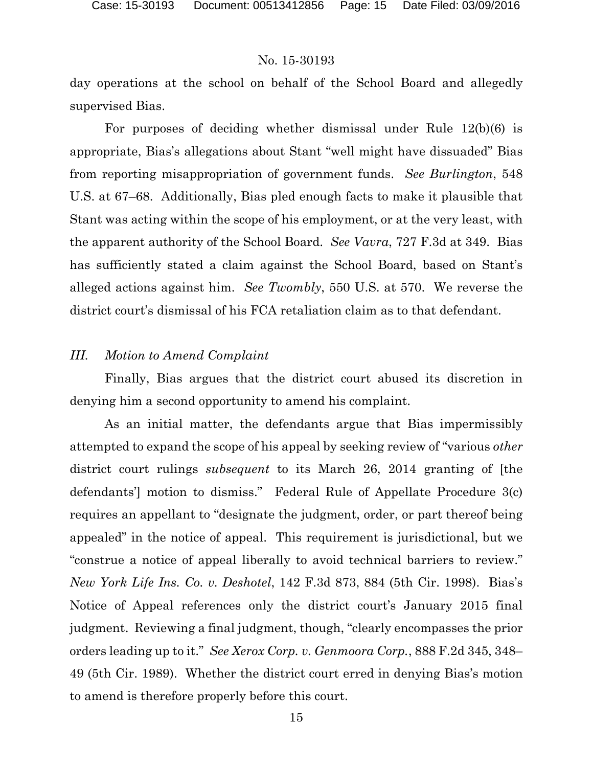day operations at the school on behalf of the School Board and allegedly supervised Bias.

For purposes of deciding whether dismissal under Rule 12(b)(6) is appropriate, Bias's allegations about Stant "well might have dissuaded" Bias from reporting misappropriation of government funds. *See Burlington*, 548 U.S. at 67–68. Additionally, Bias pled enough facts to make it plausible that Stant was acting within the scope of his employment, or at the very least, with the apparent authority of the School Board. *See Vavra*, 727 F.3d at 349. Bias has sufficiently stated a claim against the School Board, based on Stant's alleged actions against him. *See Twombly*, 550 U.S. at 570. We reverse the district court's dismissal of his FCA retaliation claim as to that defendant.

#### *III. Motion to Amend Complaint*

Finally, Bias argues that the district court abused its discretion in denying him a second opportunity to amend his complaint.

As an initial matter, the defendants argue that Bias impermissibly attempted to expand the scope of his appeal by seeking review of "various *other*  district court rulings *subsequent* to its March 26, 2014 granting of [the defendants'] motion to dismiss." Federal Rule of Appellate Procedure 3(c) requires an appellant to "designate the judgment, order, or part thereof being appealed" in the notice of appeal. This requirement is jurisdictional, but we "construe a notice of appeal liberally to avoid technical barriers to review." *New York Life Ins. Co. v. Deshotel*, 142 F.3d 873, 884 (5th Cir. 1998). Bias's Notice of Appeal references only the district court's January 2015 final judgment. Reviewing a final judgment, though, "clearly encompasses the prior orders leading up to it." *See Xerox Corp. v. Genmoora Corp.*, 888 F.2d 345, 348– 49 (5th Cir. 1989). Whether the district court erred in denying Bias's motion to amend is therefore properly before this court.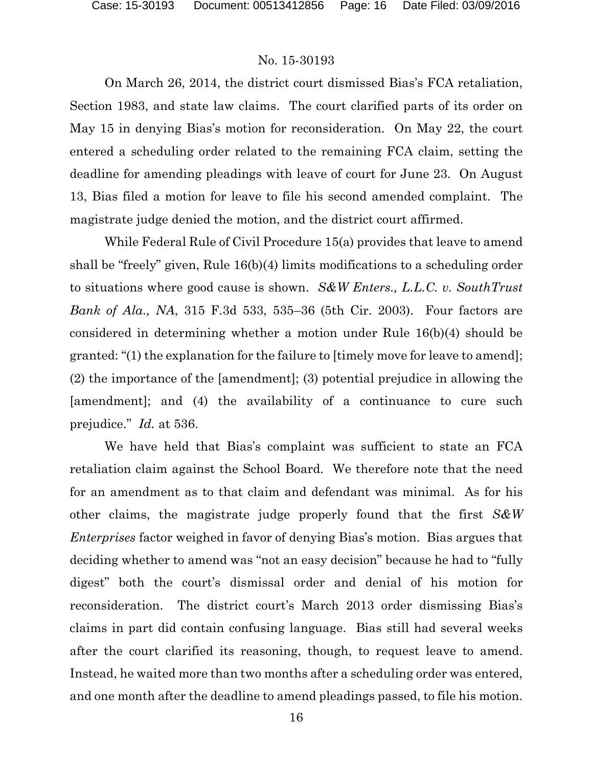On March 26, 2014, the district court dismissed Bias's FCA retaliation, Section 1983, and state law claims. The court clarified parts of its order on May 15 in denying Bias's motion for reconsideration. On May 22, the court entered a scheduling order related to the remaining FCA claim, setting the deadline for amending pleadings with leave of court for June 23. On August 13, Bias filed a motion for leave to file his second amended complaint. The magistrate judge denied the motion, and the district court affirmed.

While Federal Rule of Civil Procedure 15(a) provides that leave to amend shall be "freely" given, Rule 16(b)(4) limits modifications to a scheduling order to situations where good cause is shown. *S&W Enters., L.L.C. v. SouthTrust Bank of Ala., NA*, 315 F.3d 533, 535–36 (5th Cir. 2003). Four factors are considered in determining whether a motion under Rule 16(b)(4) should be granted: "(1) the explanation for the failure to [timely move for leave to amend]; (2) the importance of the [amendment]; (3) potential prejudice in allowing the [amendment]; and (4) the availability of a continuance to cure such prejudice." *Id.* at 536.

We have held that Bias's complaint was sufficient to state an FCA retaliation claim against the School Board. We therefore note that the need for an amendment as to that claim and defendant was minimal. As for his other claims, the magistrate judge properly found that the first *S&W Enterprises* factor weighed in favor of denying Bias's motion. Bias argues that deciding whether to amend was "not an easy decision" because he had to "fully digest" both the court's dismissal order and denial of his motion for reconsideration. The district court's March 2013 order dismissing Bias's claims in part did contain confusing language. Bias still had several weeks after the court clarified its reasoning, though, to request leave to amend. Instead, he waited more than two months after a scheduling order was entered, and one month after the deadline to amend pleadings passed, to file his motion.